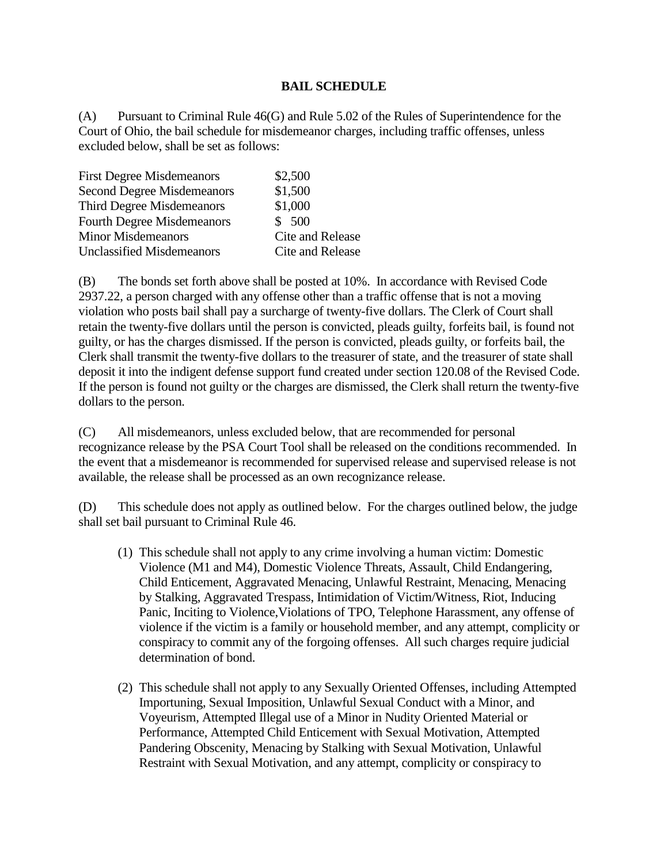## **BAIL SCHEDULE**

(A) Pursuant to Criminal Rule 46(G) and Rule 5.02 of the Rules of Superintendence for the Court of Ohio, the bail schedule for misdemeanor charges, including traffic offenses, unless excluded below, shall be set as follows:

| \$2,500          |
|------------------|
| \$1,500          |
| \$1,000          |
| \$500            |
| Cite and Release |
| Cite and Release |
|                  |

(B) The bonds set forth above shall be posted at 10%. In accordance with Revised Code 2937.22, a person charged with any offense other than a traffic offense that is not a moving violation who posts bail shall pay a surcharge of twenty-five dollars. The Clerk of Court shall retain the twenty-five dollars until the person is convicted, pleads guilty, forfeits bail, is found not guilty, or has the charges dismissed. If the person is convicted, pleads guilty, or forfeits bail, the Clerk shall transmit the twenty-five dollars to the treasurer of state, and the treasurer of state shall deposit it into the indigent defense support fund created under section 120.08 of the Revised Code. If the person is found not guilty or the charges are dismissed, the Clerk shall return the twenty-five dollars to the person.

(C) All misdemeanors, unless excluded below, that are recommended for personal recognizance release by the PSA Court Tool shall be released on the conditions recommended. In the event that a misdemeanor is recommended for supervised release and supervised release is not available, the release shall be processed as an own recognizance release.

(D) This schedule does not apply as outlined below. For the charges outlined below, the judge shall set bail pursuant to Criminal Rule 46.

- (1) This schedule shall not apply to any crime involving a human victim: Domestic Violence (M1 and M4), Domestic Violence Threats, Assault, Child Endangering, Child Enticement, Aggravated Menacing, Unlawful Restraint, Menacing, Menacing by Stalking, Aggravated Trespass, Intimidation of Victim/Witness, Riot, Inducing Panic, Inciting to Violence,Violations of TPO, Telephone Harassment, any offense of violence if the victim is a family or household member, and any attempt, complicity or conspiracy to commit any of the forgoing offenses. All such charges require judicial determination of bond.
- (2) This schedule shall not apply to any Sexually Oriented Offenses, including Attempted Importuning, Sexual Imposition, Unlawful Sexual Conduct with a Minor, and Voyeurism, Attempted Illegal use of a Minor in Nudity Oriented Material or Performance, Attempted Child Enticement with Sexual Motivation, Attempted Pandering Obscenity, Menacing by Stalking with Sexual Motivation, Unlawful Restraint with Sexual Motivation, and any attempt, complicity or conspiracy to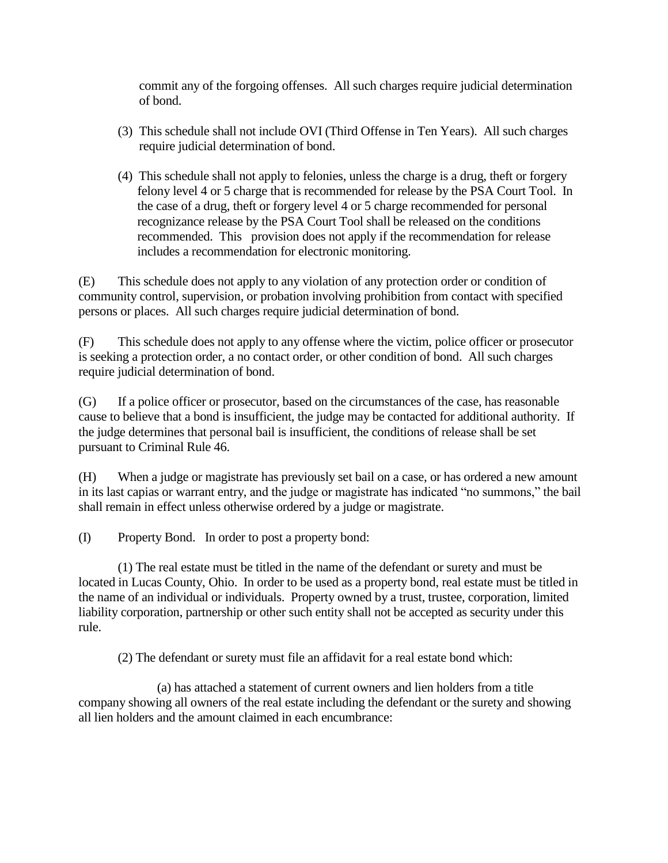commit any of the forgoing offenses. All such charges require judicial determination of bond.

- (3) This schedule shall not include OVI (Third Offense in Ten Years). All such charges require judicial determination of bond.
- (4) This schedule shall not apply to felonies, unless the charge is a drug, theft or forgery felony level 4 or 5 charge that is recommended for release by the PSA Court Tool. In the case of a drug, theft or forgery level 4 or 5 charge recommended for personal recognizance release by the PSA Court Tool shall be released on the conditions recommended. This provision does not apply if the recommendation for release includes a recommendation for electronic monitoring.

(E) This schedule does not apply to any violation of any protection order or condition of community control, supervision, or probation involving prohibition from contact with specified persons or places. All such charges require judicial determination of bond.

(F) This schedule does not apply to any offense where the victim, police officer or prosecutor is seeking a protection order, a no contact order, or other condition of bond. All such charges require judicial determination of bond.

(G) If a police officer or prosecutor, based on the circumstances of the case, has reasonable cause to believe that a bond is insufficient, the judge may be contacted for additional authority. If the judge determines that personal bail is insufficient, the conditions of release shall be set pursuant to Criminal Rule 46.

(H) When a judge or magistrate has previously set bail on a case, or has ordered a new amount in its last capias or warrant entry, and the judge or magistrate has indicated "no summons," the bail shall remain in effect unless otherwise ordered by a judge or magistrate.

(I) Property Bond. In order to post a property bond:

(1) The real estate must be titled in the name of the defendant or surety and must be located in Lucas County, Ohio. In order to be used as a property bond, real estate must be titled in the name of an individual or individuals. Property owned by a trust, trustee, corporation, limited liability corporation, partnership or other such entity shall not be accepted as security under this rule.

(2) The defendant or surety must file an affidavit for a real estate bond which:

(a) has attached a statement of current owners and lien holders from a title company showing all owners of the real estate including the defendant or the surety and showing all lien holders and the amount claimed in each encumbrance: